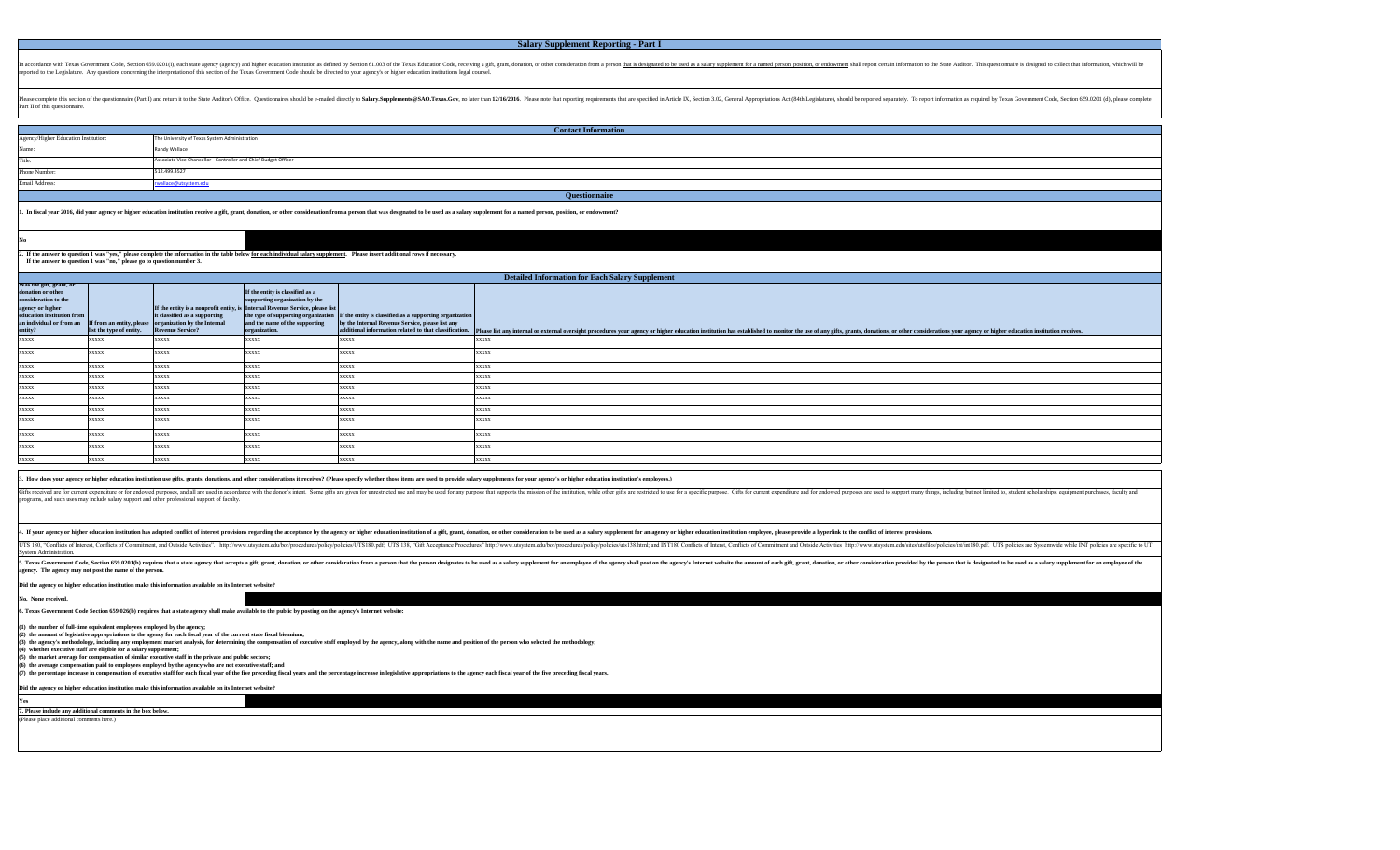In accordance with Texas Government Code, Section 659.0201(i), each state agency (agency) and higher education institution as defined by Section 61.003 of the Texas Education from a person that is designated to be used as reported to the Legislature. Any questions concerning the interpretation of this section of the Texas Government Code should be directed to your agency's or higher education institution's legal counsel.

# **Salary Supplement Reporting - Part I**

## **Contact Information**

Please complete this section of the questionnaire (Part I) and return it to the State Auditor's Office. Questionnaires should be e-mailed directly to Salary.Supplements@SAO.Texas.Gov, no later than 12/16/2016. Please note Part II of this questionnaire.

|                                                                                                                                                               |                          |                                                                                                                           |                                                                                                                                                                                                        |                                                                                                                                                  | <b>Detailed Information for Each Salary Supplement</b>                                                                                                                                                                         |  |
|---------------------------------------------------------------------------------------------------------------------------------------------------------------|--------------------------|---------------------------------------------------------------------------------------------------------------------------|--------------------------------------------------------------------------------------------------------------------------------------------------------------------------------------------------------|--------------------------------------------------------------------------------------------------------------------------------------------------|--------------------------------------------------------------------------------------------------------------------------------------------------------------------------------------------------------------------------------|--|
| Was the gift, grant, or<br>donation or other<br>consideration to the<br>agency or higher<br>education institution from<br>an individual or from an<br>entity? | list the type of entity. | it classified as a supporting<br><b>If from an entity, please organization by the Internal</b><br><b>Revenue Service?</b> | If the entity is classified as a<br>supporting organization by the<br>If the entity is a nonprofit entity, is Internal Revenue Service, please list<br>and the name of the supporting<br>organization. | the type of supporting organization If the entity is classified as a supporting organization<br>by the Internal Revenue Service, please list any | additional information related to that classification. Please list any internal or external oversight procedures your agency or higher education institution has established to monitor the use of any gifts, grants, donation |  |
| <b>XXXXX</b>                                                                                                                                                  | <b>XXXXX</b>             | <b>XXXXX</b>                                                                                                              | <b>XXXXX</b>                                                                                                                                                                                           | <b>XXXXX</b>                                                                                                                                     | <b>XXXXX</b>                                                                                                                                                                                                                   |  |
| <b>XXXXX</b>                                                                                                                                                  | <b>XXXXX</b>             | <b>XXXXX</b>                                                                                                              | <b>XXXXX</b>                                                                                                                                                                                           | <b>XXXXX</b>                                                                                                                                     | <b>XXXXX</b>                                                                                                                                                                                                                   |  |
| <b>XXXXX</b>                                                                                                                                                  | <b>XXXXX</b>             | XXXX                                                                                                                      | XXXXX                                                                                                                                                                                                  | xxxxx                                                                                                                                            | <b>XXXXX</b>                                                                                                                                                                                                                   |  |
| <b>XXXXX</b>                                                                                                                                                  | <b>XXXXX</b>             | xxxxx                                                                                                                     | XXXXX                                                                                                                                                                                                  | XXXXX                                                                                                                                            | <b>XXXXX</b>                                                                                                                                                                                                                   |  |
| <b>XXXXX</b>                                                                                                                                                  | <b>XXXXX</b>             | xxxxx                                                                                                                     | XXXXX                                                                                                                                                                                                  | xxxxx                                                                                                                                            | <b>XXXXX</b>                                                                                                                                                                                                                   |  |
| <b>XXXXX</b>                                                                                                                                                  | <b>XXXXX</b>             | <b>XXXXX</b>                                                                                                              | <b>XXXXX</b>                                                                                                                                                                                           | <b>XXXXX</b>                                                                                                                                     | <b>XXXXX</b>                                                                                                                                                                                                                   |  |
| <b>XXXXX</b>                                                                                                                                                  | <b>XXXXX</b>             | <b>XXXXX</b>                                                                                                              | <b>XXXXX</b>                                                                                                                                                                                           | <b>XXXXX</b>                                                                                                                                     | <b>XXXXX</b>                                                                                                                                                                                                                   |  |
| <b>XXXXX</b>                                                                                                                                                  | <b>XXXXX</b>             | <b>XXXXX</b>                                                                                                              | <b>XXXXX</b>                                                                                                                                                                                           | <b>XXXXX</b>                                                                                                                                     | <b>XXXXX</b>                                                                                                                                                                                                                   |  |
| <b>XXXXX</b>                                                                                                                                                  | <b>XXXXX</b>             | <b>XXXXX</b>                                                                                                              | <b>XXXXX</b>                                                                                                                                                                                           | <b>XXXXX</b>                                                                                                                                     | <b>XXXXX</b>                                                                                                                                                                                                                   |  |
| <b>XXXXX</b>                                                                                                                                                  | <b>XXXXX</b>             | XXXXX                                                                                                                     | <b>XXXXX</b>                                                                                                                                                                                           | XXXXX                                                                                                                                            | <b>XXXXX</b>                                                                                                                                                                                                                   |  |
| <b>XXXXX</b>                                                                                                                                                  | <b>XXXXX</b>             | <b>XXXXX</b>                                                                                                              | <b>XXXXX</b>                                                                                                                                                                                           | <b>XXXXX</b>                                                                                                                                     | <b>XXXXX</b>                                                                                                                                                                                                                   |  |

### 3. How does your agency or higher education institution use gifts, grants, donations, and other considerations it receives? (Please specify whether those items are used to provide salary supplements for your agency's or hi

Gifts received are for current expenditure or for endowed purposes, and all are used in accordance with the donor's intent. Some gifts are given for unrestricted use and may be used for any purpose that supports the missio programs, and such uses may include salary support and other professional support of faculty.

4. If your agency or higher education institution has adopted conflict of interest provisions regarding the acceptance by the agency or higher education institution of a gift, grant, donation, or other consideration to be UTS 180, "Conflicts of Interest, Conflicts of Commitment, and Outside Activities". http://www.utsystem.edu/bor/procedures/policy/policies/UTS180.pdf; UTS 138, "Gift Acceptance Procedures/policy/policies/uts138.html; and IN

**2. If the answer to question 1 was "yes," please complete the information in the table below for each individual salary supplement. Please insert additional rows if necessary. If the answer to question 1 was "no," please go to question number 3.**

| Agency/Higher Education Institution: | The University of Texas System Administration                   |
|--------------------------------------|-----------------------------------------------------------------|
| Name:                                | Randy Wallace                                                   |
| Title:                               | Associate Vice Chancellor - Controller and Chief Budget Officer |
| <b>Phone Number:</b>                 | 512.499.4527                                                    |
| <b>Email Address:</b>                | rwallace@utsystem.edu                                           |
|                                      |                                                                 |

1. In fiscal year 2016, did your agency or higher education institution receive a gift, grant, donation, or other consideration from a person that was designated to be used as a salary supplement for a named person, positi

System Administration. 5. Texas Government Code, Section 659.0201(b) requires that a state agency that accepts a gift, grant, donation, or other consideration from a person that the person designates to be used as a salary supplement for an empl **agency. The agency may not post the name of the person.** 

| Did the agency or higher education institution make this information available on its Internet website? |  |  |  |  |  |  |
|---------------------------------------------------------------------------------------------------------|--|--|--|--|--|--|
| <b>Yes</b>                                                                                              |  |  |  |  |  |  |
| 7. Please include any additional comments in the box below.                                             |  |  |  |  |  |  |
| (Please place additional comments here.)                                                                |  |  |  |  |  |  |
|                                                                                                         |  |  |  |  |  |  |

**Did the agency or higher education institution make this information available on its Internet website?** 

**No. None received.**

**6. Texas Government Code Section 659.026(b) requires that a state agency shall make available to the public by posting on the agency's Internet website:**

**(1) the number of full-time equivalent employees employed by the agency;**

**(2) the amount of legislative appropriations to the agency for each fiscal year of the current state fiscal biennium;**

 $\left| \left( 3\right) \right.$  the agency's methodology, including any employment market analysis, for determining the compensation of executive staff employed by the agency, along with the name and position of the person who selected

**(4) whether executive staff are eligible for a salary supplement;**

**(5) the market average for compensation of similar executive staff in the private and public sectors;**

**(6) the average compensation paid to employees employed by the agency who are not executive staff; and**

(7) the percentage increase in compensation of executive staff for each fiscal year of the five preceding fiscal years and the percentage increase in legislative appropriations to the agency each fiscal year of the five pr

**Questionnaire**

| oformation to the State Auditor. This questionnaire is designed to collect that information, which will be   |
|--------------------------------------------------------------------------------------------------------------|
| tely. To report information as required by Texas Government Code, Section 659.0201 (d), please complete      |
|                                                                                                              |
|                                                                                                              |
|                                                                                                              |
|                                                                                                              |
|                                                                                                              |
|                                                                                                              |
|                                                                                                              |
|                                                                                                              |
|                                                                                                              |
| other considerations your agency or higher education institution receives.                                   |
|                                                                                                              |
|                                                                                                              |
|                                                                                                              |
|                                                                                                              |
|                                                                                                              |
|                                                                                                              |
|                                                                                                              |
| oport many things, including but not limited to, student scholarships, equipment purchases, faculty and      |
| st provisions.                                                                                               |
| du/sites/utsfiles/policies/int/int180.pdf. UTS policies are Systemwide while INT policies are specific to UT |
| rovided by the person that is designated to be used as a salary supplement for an employee of the            |
|                                                                                                              |
|                                                                                                              |
|                                                                                                              |
|                                                                                                              |
|                                                                                                              |
|                                                                                                              |
|                                                                                                              |
|                                                                                                              |
|                                                                                                              |

#### **No**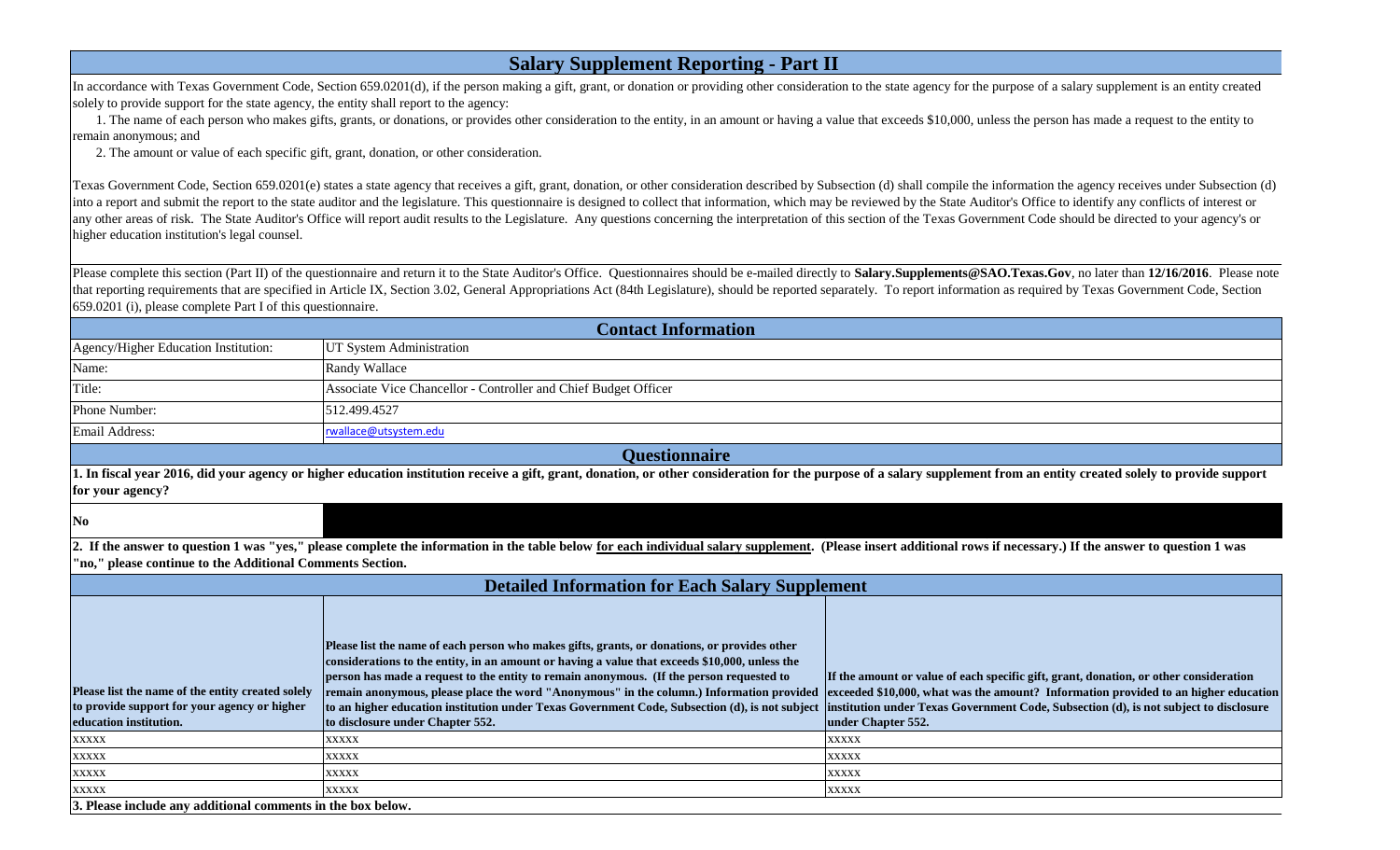In accordance with Texas Government Code, Section 659.0201(d), if the person making a gift, grant, or donation or providing other consideration to the state agency for the purpose of a salary supplement is an entity create solely to provide support for the state agency, the entity shall report to the agency:

#### **Salary Supplement Reporting - Part II**

Texas Government Code, Section 659.0201(e) states a state agency that receives a gift, grant, donation, or other consideration described by Subsection (d) shall compile the information the agency receives under Subsection into a report and submit the report to the state auditor and the legislature. This questionnaire is designed to collect that information, which may be reviewed by the State Auditor's Office to identify any conflicts of int any other areas of risk. The State Auditor's Office will report audit results to the Legislature. Any questions concerning the interpretation of this section of the Texas Government Code should be directed to your agency's higher education institution's legal counsel.

 1. The name of each person who makes gifts, grants, or donations, or provides other consideration to the entity, in an amount or having a value that exceeds \$10,000, unless the person has made a request to the entity to remain anonymous; and

Please complete this section (Part II) of the questionnaire and return it to the State Auditor's Office. Questionnaires should be e-mailed directly to Salary.Supplements@SAO.Texas.Gov, no later than 12/16/2016. Please note that reporting requirements that are specified in Article IX, Section 3.02, General Appropriations Act (84th Legislature), should be reported separately. To report information as required by Texas Government Code, Section 659.0201 (i), please complete Part I of this questionnaire.

2. The amount or value of each specific gift, grant, donation, or other consideration.

|                                                                                                                             | <b>Contact Information</b>                                                                                                                                                                                                                                                                                                                                                                                                                                                                                                   |                                                                                                                                   |  |  |  |  |
|-----------------------------------------------------------------------------------------------------------------------------|------------------------------------------------------------------------------------------------------------------------------------------------------------------------------------------------------------------------------------------------------------------------------------------------------------------------------------------------------------------------------------------------------------------------------------------------------------------------------------------------------------------------------|-----------------------------------------------------------------------------------------------------------------------------------|--|--|--|--|
| Agency/Higher Education Institution:                                                                                        | UT System Administration                                                                                                                                                                                                                                                                                                                                                                                                                                                                                                     |                                                                                                                                   |  |  |  |  |
| Name:                                                                                                                       | <b>Randy Wallace</b>                                                                                                                                                                                                                                                                                                                                                                                                                                                                                                         |                                                                                                                                   |  |  |  |  |
| Title:                                                                                                                      | Associate Vice Chancellor - Controller and Chief Budget Officer                                                                                                                                                                                                                                                                                                                                                                                                                                                              |                                                                                                                                   |  |  |  |  |
| Phone Number:                                                                                                               | 512.499.4527                                                                                                                                                                                                                                                                                                                                                                                                                                                                                                                 |                                                                                                                                   |  |  |  |  |
| Email Address:                                                                                                              | rwallace@utsystem.edu                                                                                                                                                                                                                                                                                                                                                                                                                                                                                                        |                                                                                                                                   |  |  |  |  |
| <b>Questionnaire</b>                                                                                                        |                                                                                                                                                                                                                                                                                                                                                                                                                                                                                                                              |                                                                                                                                   |  |  |  |  |
| for your agency?                                                                                                            | 1. In fiscal year 2016, did your agency or higher education institution receive a gift, grant, donation, or other consideration for the purpose of a salary supplement fi                                                                                                                                                                                                                                                                                                                                                    |                                                                                                                                   |  |  |  |  |
| N <sub>0</sub>                                                                                                              |                                                                                                                                                                                                                                                                                                                                                                                                                                                                                                                              |                                                                                                                                   |  |  |  |  |
| 'no," please continue to the Additional Comments Section.                                                                   | 2. If the answer to question 1 was "yes," please complete the information in the table below for each individual salary supplement. (Please insert additional rows if<br><b>Detailed Information for Each Salary Supplement</b>                                                                                                                                                                                                                                                                                              |                                                                                                                                   |  |  |  |  |
| Please list the name of the entity created solely<br>to provide support for your agency or higher<br>education institution. | Please list the name of each person who makes gifts, grants, or donations, or provides other<br>considerations to the entity, in an amount or having a value that exceeds \$10,000, unless the<br>person has made a request to the entity to remain anonymous. (If the person requested to<br>remain anonymous, please place the word "Anonymous" in the column.) Information provided<br>to an higher education institution under Texas Government Code, Subsection (d), is not subject<br>to disclosure under Chapter 552. | If the amount or value of each spe<br>exceeded \$10,000, what was the a<br>institution under Texas Governme<br>under Chapter 552. |  |  |  |  |
| <b>XXXXX</b>                                                                                                                | <b>XXXXX</b>                                                                                                                                                                                                                                                                                                                                                                                                                                                                                                                 | <b>XXXXX</b>                                                                                                                      |  |  |  |  |
| <b>XXXXX</b>                                                                                                                | xxxxx                                                                                                                                                                                                                                                                                                                                                                                                                                                                                                                        | <b>XXXXX</b>                                                                                                                      |  |  |  |  |
| <b>XXXXX</b>                                                                                                                | <b>XXXXX</b>                                                                                                                                                                                                                                                                                                                                                                                                                                                                                                                 | <b>XXXXX</b>                                                                                                                      |  |  |  |  |
| <b>XXXXX</b>                                                                                                                | <b>XXXXX</b>                                                                                                                                                                                                                                                                                                                                                                                                                                                                                                                 | <b>XXXXX</b>                                                                                                                      |  |  |  |  |
| 3. Please include any additional comments in the box below.                                                                 |                                                                                                                                                                                                                                                                                                                                                                                                                                                                                                                              |                                                                                                                                   |  |  |  |  |



from an entity created solely to provide support

necessary.) If the answer to question 1 was

**IF Amound Section specific gift, grant, donation, or other consideration expand 3 Information provided to an higher education institution (d), is not subject to disclosure**